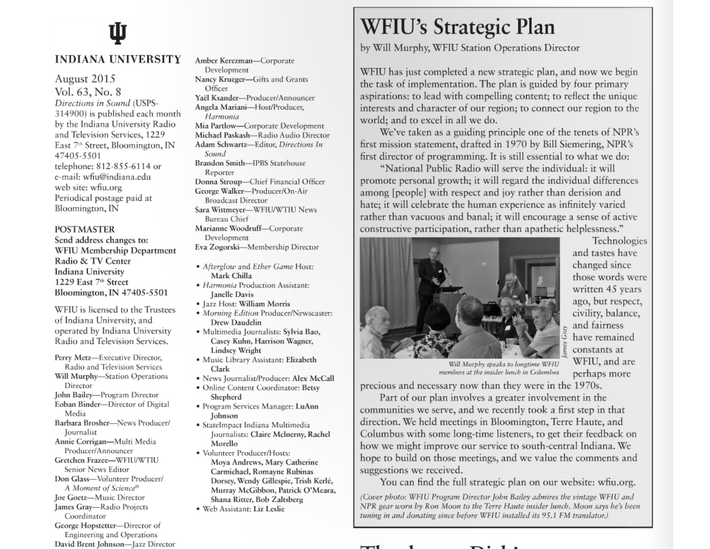# **INDIANA UNIVERSITY**

August 2015 Vol. 63, No. 8 Directions in Sound (USPS-314900) is published each month by the Indiana University Radio and Television Services, 1229 East 7<sup>th</sup> Street, Bloomington, IN 47405-5501 telephone: 812-855-6114 or e-mail: wfiu@indiana.edu web site: wfiu.org Periodical postage paid at Bloomington, IN

#### **POSTMASTER**

Send address changes to: WFIU Membership Department Radio & TV Center Indiana University 1229 East 7th Street Bloomington, IN 47405-5501

WFIU is licensed to the Trustees of Indiana University, and operated by Indiana University Radio and Television Services.

Perry Metz-Executive Director, Radio and Television Services Will Murphy-Station Operations Director John Bailey-Program Director Eoban Binder-Director of Digital Media Barbara Brosher-News Producer/ **Journalist** Annie Corrigan-Multi Media Producer/Announcer Gretchen Frazee-WFIU/WTIU Senior News Editor Don Glass-Volunteer Producer/ A Moment of Science® Joe Goetz-Music Director James Gray-Radio Projects Coordinator George Hopstetter-Director of Engineering and Operations

David Brent Johnson-Jazz Director

Amber Kerezman-Corporate Development Nancy Krueger-Gifts and Grants Officer Yaël Ksander-Producer/Announcer Angela Mariani-Host/Producer, Harmonia Mia Partlow-Corporate Development Michael Paskash-Radio Audio Director Adam Schwartz-Editor, Directions In Sound Brandon Smith-IPBS Statehouse Reporter Donna Stroup-Chief Financial Officer George Walker-Producer/On-Air **Broadcast Director** Sara Wittmever-WFIU/WTIU News Bureau Chief Marianne Woodruff-Corporate Development Eva Zogorski-Membership Director

- Afterglow and Ether Game Host: Mark Chilla
- · Harmonia Production Assistant: **Ianelle Davis**
- · Jazz Host: William Morris
- Morning Edition Producer/Newscaster: Drew Daudelin
- · Multimedia Journalists: Svlvia Bao, Casey Kuhn, Harrison Wagner, Lindsey Wright
- · Music Library Assistant: Elizabeth Clark
- · News Journalist/Producer: Alex McCall
- Online Content Coordinator: Betsy Shepherd
- · Program Services Manager: LuAnn Johnson
- · StateImpact Indiana Multimedia Journalists: Claire Mclnerny, Rachel Morello
- Volunteer Producer/Hosts: Moya Andrews, Mary Catherine Carmichael, Romayne Rubinas Dorsey, Wendy Gillespie, Trish Kerlé, Murray McGibbon, Patrick O'Meara, Shana Ritter, Bob Zaltsberg
- · Web Assistant: Liz Leslie

## **WFIU's Strategic Plan**

by Will Murphy, WFIU Station Operations Director

WFIU has just completed a new strategic plan, and now we begin the task of implementation. The plan is guided by four primary aspirations: to lead with compelling content; to reflect the unique interests and character of our region; to connect our region to the world: and to excel in all we do.

We've taken as a guiding principle one of the tenets of NPR's first mission statement, drafted in 1970 by Bill Siemering, NPR's first director of programming. It is still essential to what we do:

"National Public Radio will serve the individual: it will promote personal growth; it will regard the individual differences among [people] with respect and joy rather than derision and hate; it will celebrate the human experience as infinitely varied rather than vacuous and banal; it will encourage a sense of active constructive participation, rather than apathetic helplessness."



Technologies and tastes have changed since those words were written 45 years ago, but respect, civility, balance, and fairness have remained constants at WFIU, and are perhaps more

Will Murphy speaks to longtime WFIU members at the insider lunch in Columbus

precious and necessary now than they were in the 1970s.

Part of our plan involves a greater involvement in the communities we serve, and we recently took a first step in that direction. We held meetings in Bloomington, Terre Haute, and Columbus with some long-time listeners, to get their feedback on how we might improve our service to south-central Indiana. We hope to build on those meetings, and we value the comments and suggestions we received.

You can find the full strategic plan on our website: wfiu.org.

(Cover photo: WFIU Program Director John Bailey admires the vintage WFIU and NPR gear worn by Ron Moon to the Terre Haute insider lunch. Moon says he's been tuning in and donating since before WFIU installed its 95.1 FM translator.)

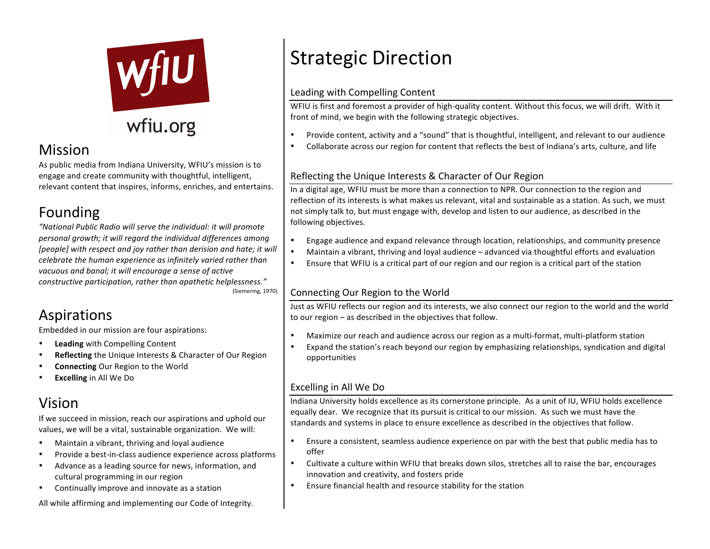

## wfiu.org

## Mission

As public media from Indiana University, WFIU's mission is to engage and create community with thoughtful, intelligent, relevant content that inspires, informs, enriches, and entertains.

## Founding

"National Public Radio will serve the individual: it will promote personal growth; it will regard the individual differences among [people] with respect and joy rather than derision and hate; it will *celebrate the human experience as infinitely varied rather than* vacuous and banal; it will encourage a sense of active *constructive participation, rather than apathetic helplessness."* (Siemering, 1970)

### Aspirations

Embedded in our mission are four aspirations:

- **Leading** with Compelling Content
- **Reflecting** the Unique Interests & Character of Our Region
- **Connecting Our Region to the World**
- **Excelling** in All We Do

## Vision

If we succeed in mission, reach our aspirations and uphold our values, we will be a vital, sustainable organization. We will:

- Maintain a vibrant, thriving and loyal audience
- Provide a best-in-class audience experience across platforms
- Advance as a leading source for news, information, and cultural programming in our region
- Continually improve and innovate as a station

All while affirming and implementing our Code of Integrity.

## **Strategic Direction**

#### Leading with Compelling Content

WFIU is first and foremost a provider of high-quality content. Without this focus, we will drift. With it front of mind, we begin with the following strategic objectives.

- Provide content, activity and a "sound" that is thoughtful, intelligent, and relevant to our audience
- Collaborate across our region for content that reflects the best of Indiana's arts, culture, and life

#### Reflecting the Unique Interests & Character of Our Region

In a digital age. WFIU must be more than a connection to NPR. Our connection to the region and reflection of its interests is what makes us relevant, vital and sustainable as a station. As such, we must not simply talk to, but must engage with, develop and listen to our audience, as described in the following objectives.

- Engage audience and expand relevance through location, relationships, and community presence
- Maintain a vibrant, thriving and loyal audience advanced via thoughtful efforts and evaluation
- Ensure that WFIU is a critical part of our region and our region is a critical part of the station

#### Connecting Our Region to the World

Just as WFIU reflects our region and its interests, we also connect our region to the world and the world to our region  $-$  as described in the objectives that follow.

- Maximize our reach and audience across our region as a multi-format, multi-platform station
- Expand the station's reach beyond our region by emphasizing relationships, syndication and digital opportunities

#### Excelling in All We Do

Indiana University holds excellence as its cornerstone principle. As a unit of IU, WFIU holds excellence equally dear. We recognize that its pursuit is critical to our mission. As such we must have the standards and systems in place to ensure excellence as described in the objectives that follow.

- Ensure a consistent, seamless audience experience on par with the best that public media has to offer
- Cultivate a culture within WFIU that breaks down silos, stretches all to raise the bar, encourages innovation and creativity, and fosters pride
- Ensure financial health and resource stability for the station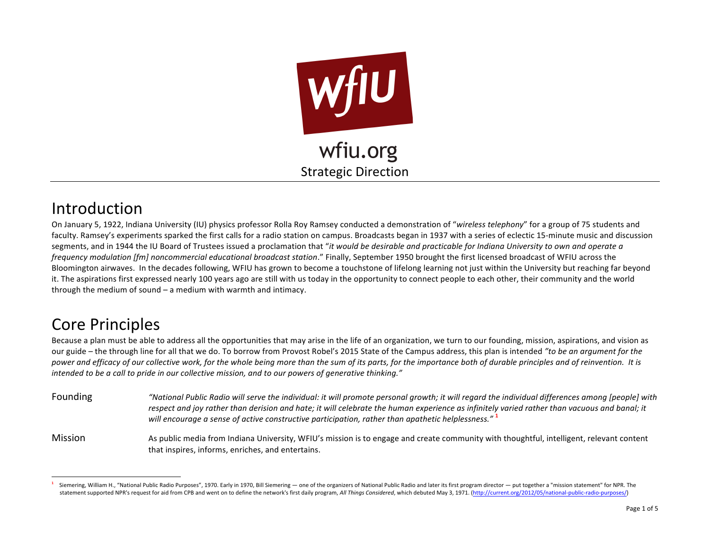

## Introduction

On January 5, 1922, Indiana University (IU) physics professor Rolla Roy Ramsey conducted a demonstration of "wireless telephony" for a group of 75 students and faculty. Ramsey's experiments sparked the first calls for a radio station on campus. Broadcasts began in 1937 with a series of eclectic 15-minute music and discussion segments, and in 1944 the IU Board of Trustees issued a proclamation that "*it would be desirable and practicable for Indiana University to own and operate a frequency modulation [fm] noncommercial educational broadcast station."* Finally, September 1950 brought the first licensed broadcast of WFIU across the Bloomington airwaves. In the decades following, WFIU has grown to become a touchstone of lifelong learning not just within the University but reaching far beyond it. The aspirations first expressed nearly 100 years ago are still with us today in the opportunity to connect people to each other, their community and the world through the medium of sound  $-$  a medium with warmth and intimacy.

### **Core Principles**

 

Because a plan must be able to address all the opportunities that may arise in the life of an organization, we turn to our founding, mission, aspirations, and vision as our guide – the through line for all that we do. To borrow from Provost Robel's 2015 State of the Campus address, this plan is intended "to be an argument for the power and efficacy of our collective work, for the whole being more than the sum of its parts, for the importance both of durable principles and of reinvention. It is intended to be a call to pride in our collective mission, and to our powers of generative thinking."

- Founding **The** *"National Public Radio will serve the individual: it will promote personal growth; it will regard the individual differences among [people] with* respect and joy rather than derision and hate; it will celebrate the human experience as infinitely varied rather than vacuous and banal; it *will encourage a sense of active constructive participation, rather than apathetic helplessness.*" **1**
- Mission and As public media from Indiana University, WFIU's mission is to engage and create community with thoughtful, intelligent, relevant content that inspires, informs, enriches, and entertains.

Siemering, William H., "National Public Radio Purposes", 1970. Early in 1970, Bill Siemering — one of the organizers of National Public Radio and later its first program director — put together a "mission statement" for NP statement supported NPR's request for aid from CPB and went on to define the network's first daily program, All Things Considered, which debuted May 3, 1971. (http://current.org/2012/05/national-public-radio-purposes/)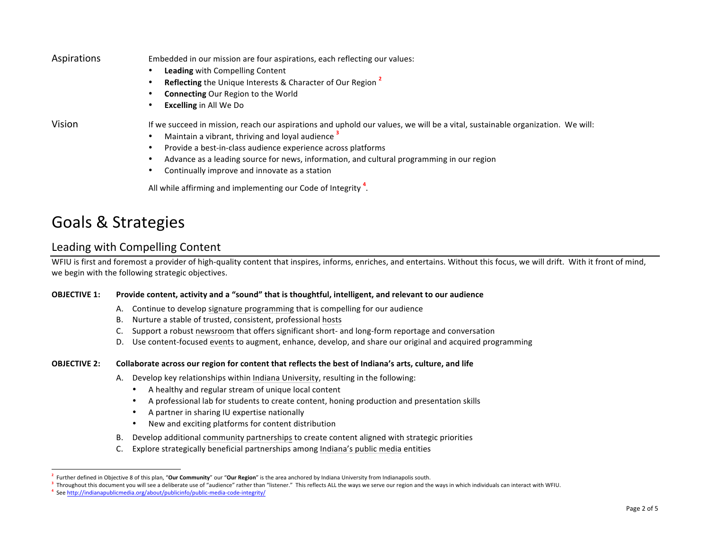| Aspirations | Embedded in our mission are four aspirations, each reflecting our values:                                                     |  |  |  |  |  |  |
|-------------|-------------------------------------------------------------------------------------------------------------------------------|--|--|--|--|--|--|
|             | <b>Leading with Compelling Content</b><br>٠                                                                                   |  |  |  |  |  |  |
|             | <b>Reflecting the Unique Interests &amp; Character of Our Region 2</b><br>٠                                                   |  |  |  |  |  |  |
|             | <b>Connecting Our Region to the World</b>                                                                                     |  |  |  |  |  |  |
|             | <b>Excelling in All We Do</b>                                                                                                 |  |  |  |  |  |  |
| Vision      | If we succeed in mission, reach our aspirations and uphold our values, we will be a vital, sustainable organization. We will: |  |  |  |  |  |  |
|             | Maintain a vibrant, thriving and loyal audience <sup>3</sup><br>$\bullet$                                                     |  |  |  |  |  |  |
|             | Provide a best-in-class audience experience across platforms<br>٠                                                             |  |  |  |  |  |  |
|             | Advance as a leading source for news, information, and cultural programming in our region<br>٠                                |  |  |  |  |  |  |
|             | Continually improve and innovate as a station                                                                                 |  |  |  |  |  |  |
|             | All while affirming and implementing our Code of Integrity <sup>4</sup> .                                                     |  |  |  |  |  |  |

### Goals & Strategies

#### Leading with Compelling Content

WFIU is first and foremost a provider of high-quality content that inspires, informs, enriches, and entertains. Without this focus, we will drift. With it front of mind, we begin with the following strategic objectives.

#### **OBJECTIVE 1:** Provide content, activity and a "sound" that is thoughtful, intelligent, and relevant to our audience

- A. Continue to develop signature programming that is compelling for our audience
- B. Nurture a stable of trusted, consistent, professional hosts
- C. Support a robust newsroom that offers significant short- and long-form reportage and conversation
- D. Use content-focused events to augment, enhance, develop, and share our original and acquired programming

#### **OBJECTIVE 2:** Collaborate across our region for content that reflects the best of Indiana's arts, culture, and life

- A. Develop key relationships within Indiana University, resulting in the following:
	- A healthy and regular stream of unique local content
	- A professional lab for students to create content, honing production and presentation skills
	- A partner in sharing IU expertise nationally
	- New and exciting platforms for content distribution
- B. Develop additional community partnerships to create content aligned with strategic priorities
- C. Explore strategically beneficial partnerships among Indiana's public media entities

 $^2$  Further defined in Objective 8 of this plan, "**Our Community**" our "**Our Region**" is the area anchored by Indiana University from Indianapolis south.

<sup>&</sup>lt;sup>3</sup> Throughout this document you will see a deliberate use of "audience" rather than "listener." This reflects ALL the ways we serve our region and the ways in which individuals can interact with WFIU.<br><sup>4</sup> See http://india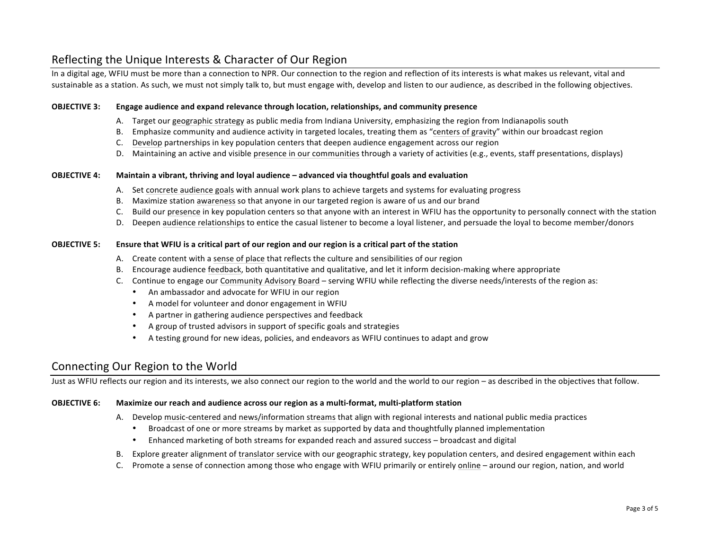#### Reflecting the Unique Interests & Character of Our Region

In a digital age, WFIU must be more than a connection to NPR. Our connection to the region and reflection of its interests is what makes us relevant, vital and sustainable as a station. As such, we must not simply talk to, but must engage with, develop and listen to our audience, as described in the following objectives.

#### **OBJECTIVE 3:** Engage audience and expand relevance through location, relationships, and community presence

- A. Target our geographic strategy as public media from Indiana University, emphasizing the region from Indianapolis south
- B. Emphasize community and audience activity in targeted locales, treating them as "centers of gravity" within our broadcast region
- C. Develop partnerships in key population centers that deepen audience engagement across our region
- D. Maintaining an active and visible presence in our communities through a variety of activities (e.g., events, staff presentations, displays)

#### **OBJECTIVE 4: Maintain a vibrant, thriving and loyal audience – advanced via thoughtful goals and evaluation**

- A. Set concrete audience goals with annual work plans to achieve targets and systems for evaluating progress
- B. Maximize station awareness so that anyone in our targeted region is aware of us and our brand
- C. Build our presence in key population centers so that anyone with an interest in WFIU has the opportunity to personally connect with the station
- D. Deepen audience relationships to entice the casual listener to become a loyal listener, and persuade the loyal to become member/donors

#### **OBJECTIVE 5:** Ensure that WFIU is a critical part of our region and our region is a critical part of the station

- A. Create content with a sense of place that reflects the culture and sensibilities of our region
- B. Encourage audience feedback, both quantitative and qualitative, and let it inform decision-making where appropriate
- C. Continue to engage our Community Advisory Board serving WFIU while reflecting the diverse needs/interests of the region as:
	- An ambassador and advocate for WFIU in our region
	- A model for volunteer and donor engagement in WFIU
	- A partner in gathering audience perspectives and feedback
	- A group of trusted advisors in support of specific goals and strategies
	- A testing ground for new ideas, policies, and endeavors as WFIU continues to adapt and grow

#### Connecting Our Region to the World

Just as WFIU reflects our region and its interests, we also connect our region to the world and the world to our region – as described in the objectives that follow.

#### **OBJECTIVE 6:** Maximize our reach and audience across our region as a multi-format, multi-platform station

- A. Develop music-centered and news/information streams that align with regional interests and national public media practices
	- Broadcast of one or more streams by market as supported by data and thoughtfully planned implementation
	- Enhanced marketing of both streams for expanded reach and assured success broadcast and digital
- B. Explore greater alignment of translator service with our geographic strategy, key population centers, and desired engagement within each
- C. Promote a sense of connection among those who engage with WFIU primarily or entirely online around our region, nation, and world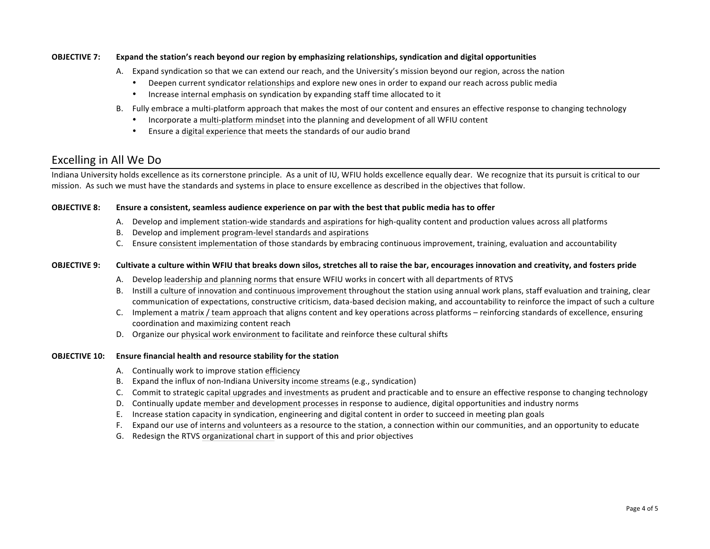#### **OBJECTIVE** 7: Expand the station's reach beyond our region by emphasizing relationships, syndication and digital opportunities

- A. Expand syndication so that we can extend our reach, and the University's mission beyond our region, across the nation
	- Deepen current syndicator relationships and explore new ones in order to expand our reach across public media
	- Increase internal emphasis on syndication by expanding staff time allocated to it
- B. Fully embrace a multi-platform approach that makes the most of our content and ensures an effective response to changing technology
	- Incorporate a multi-platform mindset into the planning and development of all WFIU content
	- Ensure a digital experience that meets the standards of our audio brand

#### Excelling in All We Do

Indiana University holds excellence as its cornerstone principle. As a unit of IU, WFIU holds excellence equally dear. We recognize that its pursuit is critical to our mission. As such we must have the standards and systems in place to ensure excellence as described in the objectives that follow.

#### **OBJECTIVE 8:** Ensure a consistent, seamless audience experience on par with the best that public media has to offer

- A. Develop and implement station-wide standards and aspirations for high-quality content and production values across all platforms
- B. Develop and implement program-level standards and aspirations
- C. Ensure consistent implementation of those standards by embracing continuous improvement, training, evaluation and accountability

#### **OBJECTIVE 9:** Cultivate a culture within WFIU that breaks down silos, stretches all to raise the bar, encourages innovation and creativity, and fosters pride

- A. Develop leadership and planning norms that ensure WFIU works in concert with all departments of RTVS
- B. Instill a culture of innovation and continuous improvement throughout the station using annual work plans, staff evaluation and training, clear communication of expectations, constructive criticism, data-based decision making, and accountability to reinforce the impact of such a culture
- C. Implement a matrix / team approach that aligns content and key operations across platforms reinforcing standards of excellence, ensuring coordination and maximizing content reach
- D. Organize our physical work environment to facilitate and reinforce these cultural shifts

#### **OBJECTIVE 10:** Ensure financial health and resource stability for the station

- A. Continually work to improve station efficiency
- B. Expand the influx of non-Indiana University income streams (e.g., syndication)
- C. Commit to strategic capital upgrades and investments as prudent and practicable and to ensure an effective response to changing technology
- D. Continually update member and development processes in response to audience, digital opportunities and industry norms
- E. Increase station capacity in syndication, engineering and digital content in order to succeed in meeting plan goals
- F. Expand our use of interns and volunteers as a resource to the station, a connection within our communities, and an opportunity to educate
- G. Redesign the RTVS organizational chart in support of this and prior objectives